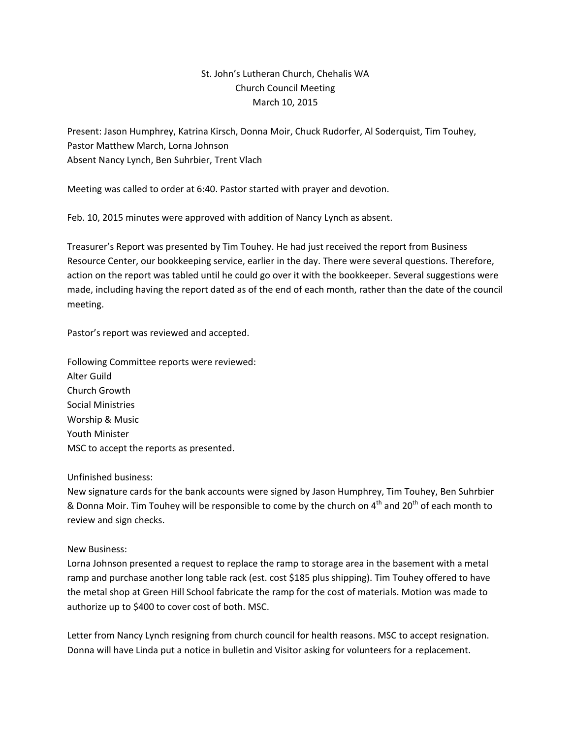## St. John's Lutheran Church, Chehalis WA Church Council Meeting March 10, 2015

Present: Jason Humphrey, Katrina Kirsch, Donna Moir, Chuck Rudorfer, Al Soderquist, Tim Touhey, Pastor Matthew March, Lorna Johnson Absent Nancy Lynch, Ben Suhrbier, Trent Vlach

Meeting was called to order at 6:40. Pastor started with prayer and devotion.

Feb. 10, 2015 minutes were approved with addition of Nancy Lynch as absent.

Treasurer's Report was presented by Tim Touhey. He had just received the report from Business Resource Center, our bookkeeping service, earlier in the day. There were several questions. Therefore, action on the report was tabled until he could go over it with the bookkeeper. Several suggestions were made, including having the report dated as of the end of each month, rather than the date of the council meeting.

Pastor's report was reviewed and accepted.

Following Committee reports were reviewed: Alter Guild Church Growth Social Ministries Worship & Music Youth Minister MSC to accept the reports as presented.

## Unfinished business:

New signature cards for the bank accounts were signed by Jason Humphrey, Tim Touhey, Ben Suhrbier & Donna Moir. Tim Touhey will be responsible to come by the church on  $4<sup>th</sup>$  and 20<sup>th</sup> of each month to review and sign checks.

## New Business:

Lorna Johnson presented a request to replace the ramp to storage area in the basement with a metal ramp and purchase another long table rack (est. cost \$185 plus shipping). Tim Touhey offered to have the metal shop at Green Hill School fabricate the ramp for the cost of materials. Motion was made to authorize up to \$400 to cover cost of both. MSC.

Letter from Nancy Lynch resigning from church council for health reasons. MSC to accept resignation. Donna will have Linda put a notice in bulletin and Visitor asking for volunteers for a replacement.